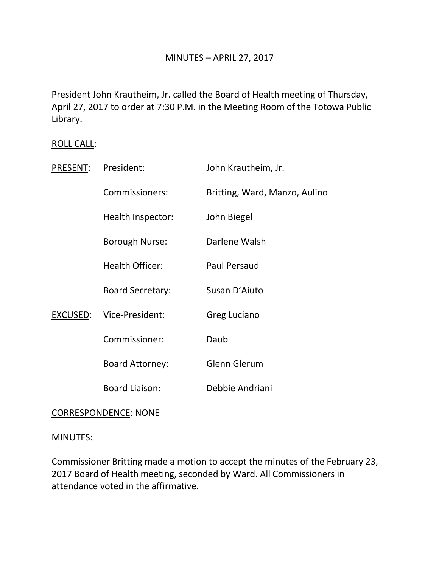President John Krautheim, Jr. called the Board of Health meeting of Thursday, April 27, 2017 to order at 7:30 P.M. in the Meeting Room of the Totowa Public Library.

# ROLL CALL:

| PRESENT: | President:              | John Krautheim, Jr.           |
|----------|-------------------------|-------------------------------|
|          | Commissioners:          | Britting, Ward, Manzo, Aulino |
|          | Health Inspector:       | John Biegel                   |
|          | <b>Borough Nurse:</b>   | Darlene Walsh                 |
|          | <b>Health Officer:</b>  | <b>Paul Persaud</b>           |
|          | <b>Board Secretary:</b> | Susan D'Aiuto                 |
| EXCUSED: | Vice-President:         | Greg Luciano                  |
|          | Commissioner:           | Daub                          |
|          | <b>Board Attorney:</b>  | <b>Glenn Glerum</b>           |
|          | <b>Board Liaison:</b>   | Debbie Andriani               |
|          |                         |                               |

# CORRESPONDENCE: NONE

## MINUTES:

Commissioner Britting made a motion to accept the minutes of the February 23, 2017 Board of Health meeting, seconded by Ward. All Commissioners in attendance voted in the affirmative.